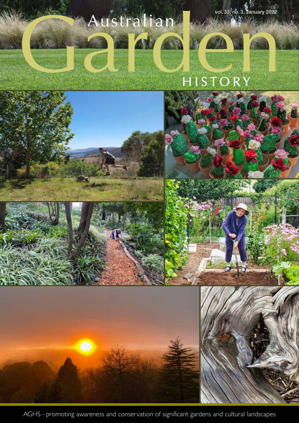

AGHS – promoting awareness and conservation of significant gardens and cultural landscapes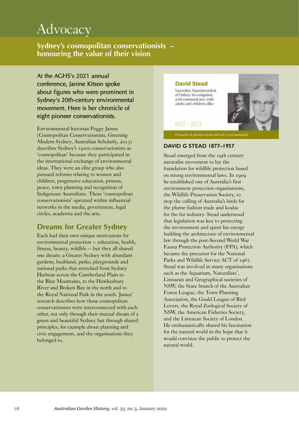# **Advocacy**

**Sydney's cosmopolitan conservationists – honouring the value of their vision**

At the AGHS's 2021 annual conference, Janine Kitson spoke about figures who were prominent in Sydney's 20th-century environmental movement. Here is her chronicle of eight pioneer conservationists.

Environmental historian Peggy James (Cosmopolitan Conservationists, Greening Modern Sydney, Australian Scholarly, 2013) describes Sydney's 1920s conservationists as 'cosmopolitan' because they participated in the international exchange of environmental ideas. They were an elite group who also pursued reforms relating to women and children, progressive education, prisons, peace, town planning and recognition of Indigenous Australians. These 'cosmopolitan conservationists' operated within influential networks in the media, government, legal circles, academia and the arts.

# **Dreams for Greater Sydney**

Each had their own unique motivations for environmental protection – education, health, fitness, beauty, wildlife – but they all shared one dream: a Greater Sydney with abundant gardens, bushland, parks, playgrounds and national parks that stretched from Sydney Harbour across the Cumberland Plain to the Blue Mountains, to the Hawkesbury River and Broken Bay in the north and to the Royal National Park in the south. James' research describes how these cosmopolitan conservationists were interconnected with each other, not only through their mutual dream of a green and beautiful Sydney but through shared principles, for example about planning and civic engagement, and the organisations they belonged to.



### **DAVID G STEAD 1877–1957**

Stead emerged from the 19th century naturalist movement to lay the foundation for wildlife protection based on strong environmental laws. In 1909 he established one of Australia's first environment protection organisations, the Wildlife Preservation Society, to stop the culling of Australia's birds for the plume fashion trade and koalas for the fur industry. Stead understood that legislation was key to protecting the environment and spent his energy building the architecture of environmental law through the post-Second World War Fauna Protection Authority (FPA), which became the precursor for the National Parks and Wildlife Service ACT of 1967. Stead was involved in many organisations such as the Aquarium, Naturalists', Linnaean and Geographical societies of NSW, the State branch of the Australian Forest League, the Town Planning Association, the Gould League of Bird Lovers, the Royal Zoological Society of NSW, the American Fisheries Society, and the Linnaean Society of London. He enthusiastically shared his fascination for the natural world in the hope that it would convince the public to protect the natural world.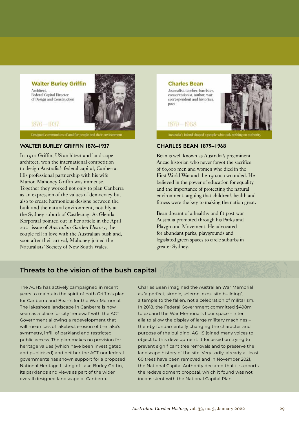

## $1876 - 1937$

Federal Capital Director

of Design and Construction

Architect,

Designed communities of and for people and their environmen

#### **WALTER BURLEY GRIFFIN 1876–1937**

In 1912 Griffin, US architect and landscape architect, won the international competition to design Australia's federal capital, Canberra. His professional partnership with his wife Marion Mahoney Griffin was immense. Together they worked not only to plan Canberra as an expression of the values of democracy but also to create harmonious designs between the built and the natural environment, notably at the Sydney suburb of Castlecrag. As Glenda Korporaal pointed out in her article in the April 2021 issue of Australian Garden History, the couple fell in love with the Australian bush and, soon after their arrival, Mahoney joined the Naturalists' Society of New South Wales.

### **Charles Bean**

1879-1968

Journalist, teacher, barrister, conservationist, author, war correspondent and historian, noet



Australia's inland shaped a people who took nothing on auth

#### **CHARLES BEAN 1879–1968**

Bean is well known as Australia's preeminent Anzac historian who never forgot the sacrifice of 60,000 men and women who died in the First World War and the 150,000 wounded. He believed in the power of education for equality and the importance of protecting the natural environment, arguing that children's health and fitness were the key to making the nation great.

Bean dreamt of a healthy and fit post-war Australia promoted through his Parks and Playground Movement. He advocated for abundant parks, playgrounds and legislated green spaces to circle suburbs in greater Sydney.

# **Threats to the vision of the bush capital**

The AGHS has actively campaigned in recent years to maintain the spirit of both Griffin's plan for Canberra and Bean's for the War Memorial. The lakeshore landscape in Canberra is now seen as a place for city 'renewal' with the ACT Government allowing a redevelopment that will mean loss of lakebed, erosion of the lake's symmetry, infill of parkland and restricted public access. The plan makes no provision for heritage values (which have been investigated and publicised) and neither the ACT nor federal governments has shown support for a proposed National Heritage Listing of Lake Burley Griffin, its parklands and views as part of the wider overall designed landscape of Canberra.

Charles Bean imagined the Australian War Memorial as 'a perfect, simple, solemn, exquisite building', a temple to the fallen, not a celebration of militarism. In 2018, the Federal Government committed \$498m to expand the War Memorial's floor space – inter alia to allow the display of large military machines – thereby fundamentally changing the character and purpose of the building. AGHS joined many voices to object to this development. It focussed on trying to prevent significant tree removals and to preserve the landscape history of the site. Very sadly, already at least 60 trees have been removed and in November 2021, the National Capital Authority declared that it supports the redevelopment proposal, which it found was not inconsistent with the National Capital Plan.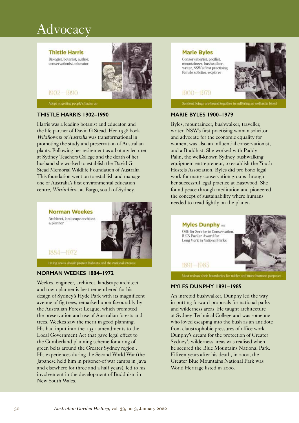# **Advocacy**

**Thistle Harris** 

Biologist, botanist, author,

conservationist, educator

1902-1990



#### Adopt at getting people's backs up

#### **THISTLE HARRIS 1902–1990**

Harris was a leading botanist and educator, and the life partner of David G Stead. Her 1938 book Wildflowers of Australia was transformational in promoting the study and preservation of Australian plants. Following her retirement as a botany lecturer at Sydney Teachers College and the death of her husband she worked to establish the David G Stead Memorial Wildlife Foundation of Australia. This foundation went on to establish and manage one of Australia's first environmental education centre, Wirrimbirra, at Bargo, south of Sydney.



Eiving areas should protect habitats and the national interest

#### **NORMAN WEEKES 1884–1972**

Weekes, engineer, architect, landscape architect and town planner is best remembered for his design of Sydney's Hyde Park with its magnificent avenue of fig trees, remarked upon favourably by the Australian Forest League, which promoted the preservation and use of Australian forests and trees. Weekes saw the merit in good planning. His had input into the 1951 amendments to the Local Government Act that gave legal effect to the Cumberland planning scheme for a ring of green belts around the Greater Sydney region . His experiences during the Second World War (the Japanese held him in prisoner-of war camps in Java and elsewhere for three and a half years), led to his involvement in the development of Buddhism in New South Wales.



Sentient beings are bound together in suffering as well as in b

#### **MARIE BYLES 1900–1979**

Byles, mountaineer, bushwalker, traveller, writer, NSW's first practising woman solicitor and advocate for the economic equality for women, was also an influential conservationist, and a Buddhist. She worked with Paddy Palin, the well-known Sydney bushwalking equipment entrepreneur, to establish the Youth Hostels Association. Byles did pro bono legal work for many conservation groups through her successful legal practice at Eastwood. She found peace through meditation and pioneered the concept of sustainability where humans needed to tread lightly on the planet.



#### Must redraw their boundaries for nobler and more humane purp

#### **MYLES DUNPHY 1891–1985**

An intrepid bushwalker, Dunphy led the way in putting forward proposals for national parks and wilderness areas. He taught architecture at Sydney Technical College and was someone who loved escaping into the bush as an antidote from claustrophobic pressures of office work. Dunphy's dream for the protection of Greater Sydney's wilderness areas was realised when he secured the Blue Mountains National Park. Fifteen years after his death, in 2000, the Greater Blue Mountains National Park was World Heritage listed in 2000.